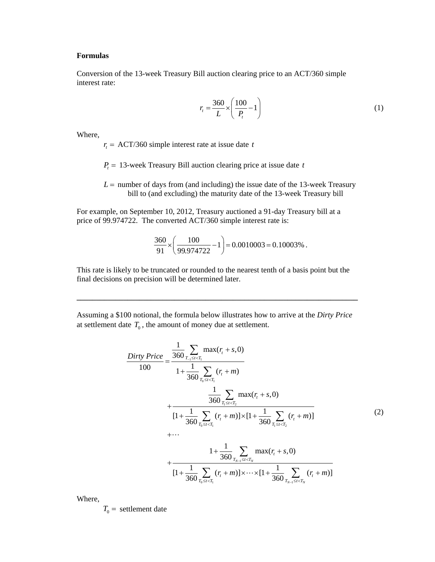## **Formulas**

Conversion of the 13-week Treasury Bill auction clearing price to an ACT/360 simple interest rate:

$$
r_t = \frac{360}{L} \times \left(\frac{100}{P_t} - 1\right) \tag{1}
$$

Where,

 $r<sub>t</sub>$  = ACT/360 simple interest rate at issue date *t* 

 $P_t = 13$ -week Treasury Bill auction clearing price at issue date *t* 

 $L =$  number of days from (and including) the issue date of the 13-week Treasury bill to (and excluding) the maturity date of the 13-week Treasury bill

For example, on September 10, 2012, Treasury auctioned a 91-day Treasury bill at a price of 99.974722. The converted ACT/360 simple interest rate is:

$$
\frac{360}{91} \times \left(\frac{100}{99.974722} - 1\right) = 0.0010003 = 0.10003\%.
$$

This rate is likely to be truncated or rounded to the nearest tenth of a basis point but the final decisions on precision will be determined later.

Assuming a \$100 notional, the formula below illustrates how to arrive at the *Dirty Price* at settlement date  $T_0$ , the amount of money due at settlement.

**\_\_\_\_\_\_\_\_\_\_\_\_\_\_\_\_\_\_\_\_\_\_\_\_\_\_\_\_\_\_\_\_\_\_\_\_\_\_\_\_\_\_\_\_\_\_\_\_\_\_\_\_\_\_\_\_\_\_\_\_\_\_\_\_\_\_\_\_\_\_\_\_** 

$$
\frac{Dirty \text{ Price}}{100} = \frac{\frac{1}{360} \sum_{T_{-1} \leq t < T_{1}} \max(r_{t} + s, 0)}{1 + \frac{1}{360} \sum_{T_{0} \leq t < T_{1}} (r_{t} + m)}
$$
\n
$$
+ \frac{\frac{1}{360} \sum_{T_{1} \leq t < T_{2}} \max(r_{t} + s, 0)}{1 + \frac{1}{360} \sum_{T_{0} \leq t < T_{1}} (r_{t} + m) \times [1 + \frac{1}{360} \sum_{T_{1} \leq t < T_{2}} (r_{t} + m)]}
$$
\n
$$
+ \cdots
$$
\n
$$
1 + \frac{1}{360} \sum_{T_{0} \leq t < T_{1}} \max(r_{t} + s, 0)
$$
\n
$$
+ \frac{1}{1 + \frac{1}{360} \sum_{T_{0} \leq t < T_{1}} (r_{t} + m) \times \cdots \times [1 + \frac{1}{360} \sum_{T_{N-1} \leq t < T_{N}} (r_{t} + m)]}
$$
\n(2)

Where,

 $T_0$  = settlement date